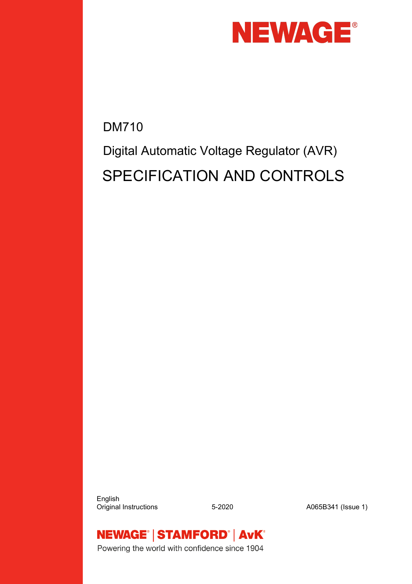

DM710 Digital Automatic Voltage Regulator (AVR) SPECIFICATION AND CONTROLS

 English Original Instructions 5-2020 A065B341 (Issue 1)



Powering the world with confidence since 1904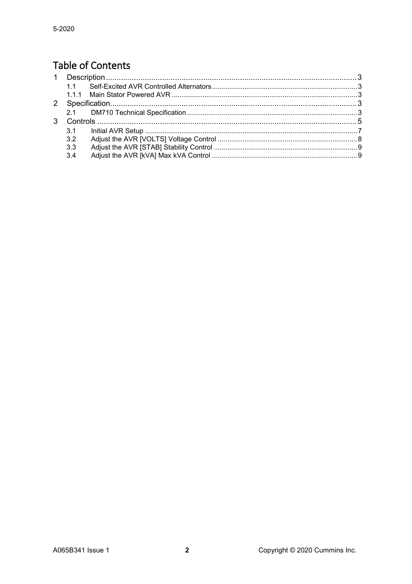### **Table of Contents**

| 11  |  |
|-----|--|
|     |  |
|     |  |
|     |  |
|     |  |
| 3.1 |  |
| 3.2 |  |
| 3.3 |  |
| 3.4 |  |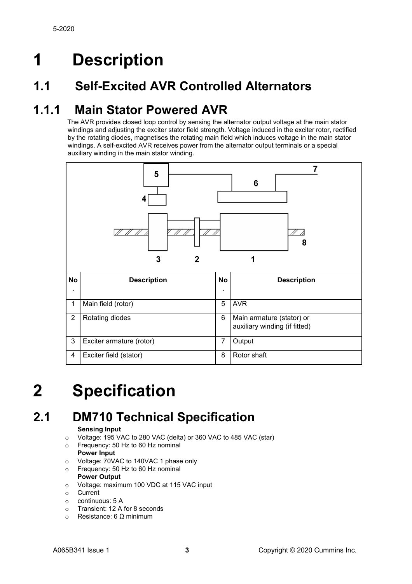# <span id="page-2-0"></span>**1 Description**

### <span id="page-2-1"></span>**1.1 Self-Excited AVR Controlled Alternators**

### <span id="page-2-2"></span>**1.1.1 Main Stator Powered AVR**

The AVR provides closed loop control by sensing the alternator output voltage at the main stator windings and adjusting the exciter stator field strength. Voltage induced in the exciter rotor, rectified by the rotating diodes, magnetises the rotating main field which induces voltage in the main stator windings. A self-excited AVR receives power from the alternator output terminals or a special auxiliary winding in the main stator winding.



# <span id="page-2-3"></span>**2 Specification**

### <span id="page-2-4"></span>**2.1 DM710 Technical Specification**

#### **Sensing Input**

- $\circ$  Voltage: 195 VAC to 280 VAC (delta) or 360 VAC to 485 VAC (star)<br> $\circ$  Frequency: 50 Hz to 60 Hz nominal
- Frequency: 50 Hz to 60 Hz nominal **Power Input**
- 
- o Voltage: 70VAC to 140VAC 1 phase only<br> **Comparison Contains 11** and Hz nominal Frequency: 50 Hz to 60 Hz nominal

#### **Power Output**

- o Voltage: maximum 100 VDC at 115 VAC input
- $\circ$  Current
- $\circ$  continuous: 5 A<br> $\circ$  Transient: 12 A
- Transient: 12 A for 8 seconds
- o Resistance: 6 Ω minimum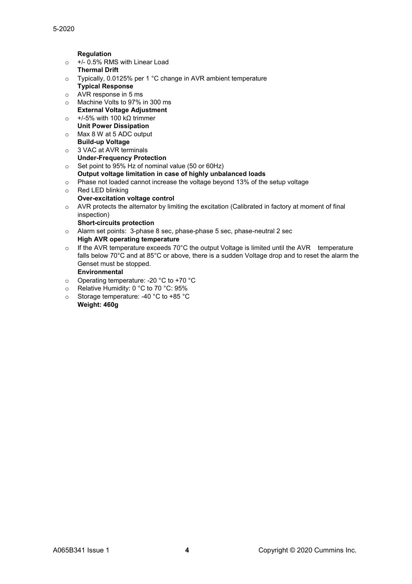**Regulation**

- o +/- 0.5% RMS with Linear Load
	- **Thermal Drift**
- o Typically, 0.0125% per 1 °C change in AVR ambient temperature **Typical Response**
- o AVR response in 5 ms
- o Machine Volts to 97% in 300 ms **External Voltage Adjustment**
- o +/-5% with 100 kΩ trimmer
- **Unit Power Dissipation** o Max 8 W at 5 ADC output
- **Build-up Voltage** o 3 VAC at AVR terminals **Under-Frequency Protection**
- o Set point to 95% Hz of nominal value (50 or 60Hz)
- **Output voltage limitation in case of highly unbalanced loads**
- o Phase not loaded cannot increase the voltage beyond 13% of the setup voltage
- o Red LED blinking
- **Over-excitation voltage control**
- o AVR protects the alternator by limiting the excitation (Calibrated in factory at moment of final inspection)
	- **Short-circuits protection**
- o Alarm set points: 3-phase 8 sec, phase-phase 5 sec, phase-neutral 2 sec **High AVR operating temperature**
- $\circ$  If the AVR temperature exceeds 70°C the output Voltage is limited until the AVR temperature falls below 70°C and at 85°C or above, there is a sudden Voltage drop and to reset the alarm the Genset must be stopped.

#### **Environmental**

- o Operating temperature: -20 °C to +70 °C
- o Relative Humidity: 0 °C to 70 °C: 95%
- o Storage temperature: -40 °C to +85 °C **Weight: 460g**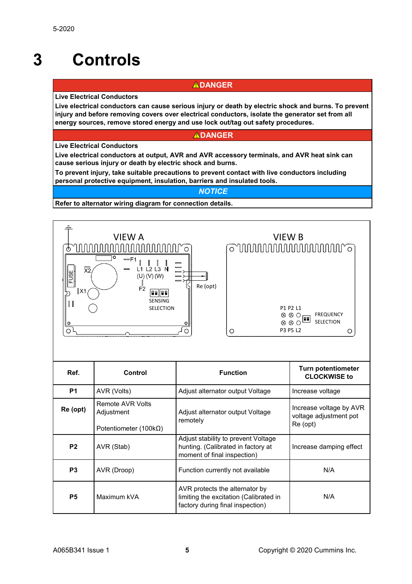# <span id="page-4-0"></span>**3 Controls**

#### **ADANGER**

**Live Electrical Conductors**

**Live electrical conductors can cause serious injury or death by electric shock and burns. To prevent injury and before removing covers over electrical conductors, isolate the generator set from all energy sources, remove stored energy and use lock out/tag out safety procedures.**

#### **ADANGER**

**Live Electrical Conductors**

**Live electrical conductors at output, AVR and AVR accessory terminals, and AVR heat sink can cause serious injury or death by electric shock and burns.**

**To prevent injury, take suitable precautions to prevent contact with live conductors including personal protective equipment, insulation, barriers and insulated tools.**

#### *NOTICE*

**Refer to alternator wiring diagram for connection details.**



| Ref.                                                                                     | Control     | <b>Function</b>                                                                                              | <b>Turn potentiometer</b><br><b>CLOCKWISE to</b>              |
|------------------------------------------------------------------------------------------|-------------|--------------------------------------------------------------------------------------------------------------|---------------------------------------------------------------|
| <b>P1</b>                                                                                | AVR (Volts) | Adjust alternator output Voltage                                                                             | Increase voltage                                              |
| Remote AVR Volts<br>Re (opt)<br>Adjustment<br>remotely<br>Potentiometer (100k $\Omega$ ) |             | Adjust alternator output Voltage                                                                             | Increase voltage by AVR<br>voltage adjustment pot<br>Re (opt) |
| P <sub>2</sub><br>AVR (Stab)                                                             |             | Adjust stability to prevent Voltage<br>hunting. (Calibrated in factory at<br>moment of final inspection)     | Increase damping effect                                       |
| P <sub>3</sub>                                                                           | AVR (Droop) | Function currently not available                                                                             | N/A                                                           |
| <b>P5</b>                                                                                | Maximum kVA | AVR protects the alternator by<br>limiting the excitation (Calibrated in<br>factory during final inspection) | N/A                                                           |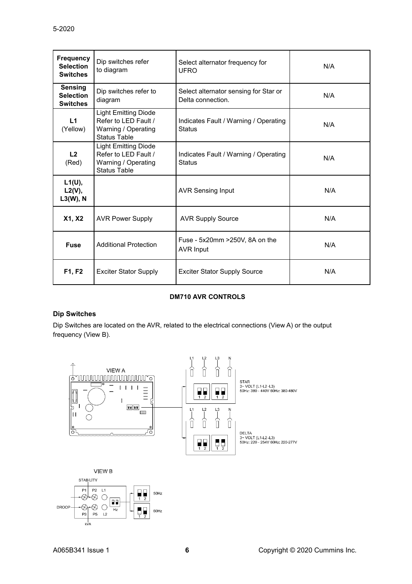| <b>Frequency</b><br><b>Selection</b><br><b>Switches</b> | Dip switches refer<br>to diagram                                                                  | Select alternator frequency for<br><b>UFRO</b>             | N/A |
|---------------------------------------------------------|---------------------------------------------------------------------------------------------------|------------------------------------------------------------|-----|
| <b>Sensing</b><br><b>Selection</b><br><b>Switches</b>   | Dip switches refer to<br>diagram                                                                  | Select alternator sensing for Star or<br>Delta connection. | N/A |
| L1<br>(Yellow)                                          | <b>Light Emitting Diode</b><br>Refer to LED Fault /<br>Warning / Operating<br>Status Table        | Indicates Fault / Warning / Operating<br><b>Status</b>     | N/A |
| L2<br>(Red)                                             | <b>Light Emitting Diode</b><br>Refer to LED Fault /<br>Warning / Operating<br><b>Status Table</b> | Indicates Fault / Warning / Operating<br><b>Status</b>     | N/A |
| L1(U),<br>$L2(V)$ ,<br>$L3(W)$ , N                      |                                                                                                   | <b>AVR Sensing Input</b>                                   | N/A |
| <b>X1, X2</b>                                           | <b>AVR Power Supply</b>                                                                           | <b>AVR Supply Source</b>                                   | N/A |
| <b>Fuse</b>                                             | <b>Additional Protection</b>                                                                      | Fuse - 5x20mm > 250V, 8A on the<br><b>AVR Input</b>        | N/A |
| F1, F2                                                  | <b>Exciter Stator Supply</b>                                                                      | <b>Exciter Stator Supply Source</b>                        | N/A |

#### **DM710 AVR CONTROLS**

#### **Dip Switches**

Dip Switches are located on the AVR, related to the electrical connections (View A) or the output frequency (View B).



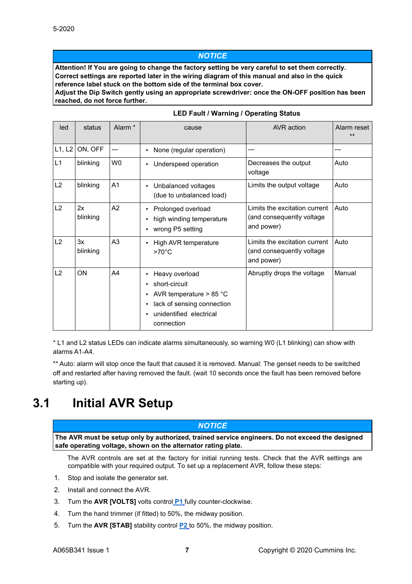#### *NOTICE*

**Attention! If You are going to change the factory setting be very careful to set them correctly. Correct settings are reported later in the wiring diagram of this manual and also in the quick reference label stuck on the bottom side of the terminal box cover.**

**Adjust the Dip Switch gently using an appropriate screwdriver: once the ON-OFF position has been reached, do not force further.**

| led    | status         | Alarm <sup>*</sup> | cause                                                                                                                               | AVR action                                                               | Alarm reset<br>$**$ |
|--------|----------------|--------------------|-------------------------------------------------------------------------------------------------------------------------------------|--------------------------------------------------------------------------|---------------------|
| L1, L2 | ON, OFF        | ---                | None (regular operation)                                                                                                            |                                                                          | ---                 |
| L1     | blinking       | W <sub>0</sub>     | Underspeed operation<br>٠                                                                                                           | Decreases the output<br>voltage                                          | Auto                |
| L2     | blinking       | A <sub>1</sub>     | Unbalanced voltages<br>(due to unbalanced load)                                                                                     | Limits the output voltage                                                | Auto                |
| L2     | 2x<br>blinking | A2                 | Prolonged overload<br>high winding temperature<br>wrong P5 setting                                                                  | Limits the excitation current<br>(and consequently voltage<br>and power) | Auto                |
| L2     | 3x<br>blinking | A3                 | High AVR temperature<br>$>70^{\circ}$ C                                                                                             | Limits the excitation current<br>(and consequently voltage<br>and power) | Auto                |
| L2     | ON             | A4                 | Heavy overload<br>short-circuit<br>AVR temperature $> 85 °C$<br>lack of sensing connection<br>unidentified electrical<br>connection | Abruptly drops the voltage                                               | Manual              |

#### **LED Fault / Warning / Operating Status**

\* L1 and L2 status LEDs can indicate alarms simultaneously, so warning W0 (L1 blinking) can show with alarms A1-A4.

\*\* Auto: alarm will stop once the fault that caused it is removed. Manual: The genset needs to be switched off and restarted after having removed the fault. (wait 10 seconds once the fault has been removed before starting up).

### <span id="page-6-0"></span>**3.1 Initial AVR Setup**

#### *NOTICE*

**The AVR must be setup only by authorized, trained service engineers. Do not exceed the designed safe operating voltage, shown on the alternator rating plate.**

The AVR controls are set at the factory for initial running tests. Check that the AVR settings are compatible with your required output. To set up a replacement AVR, follow these steps:

- 1. Stop and isolate the generator set.
- 2. Install and connect the AVR.
- 3. Turn the **AVR [VOLTS]** volts control **[P1](#page-4-0)** fully counter-clockwise.
- 4. Turn the hand trimmer (if fitted) to 50%, the midway position.
- 5. Turn the **AVR [STAB]** stability control **[P2](#page-4-0)** to 50%, the midway position.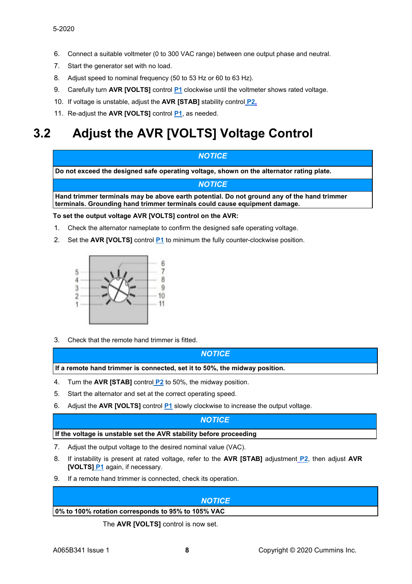- 6. Connect a suitable voltmeter (0 to 300 VAC range) between one output phase and neutral.
- 7. Start the generator set with no load.
- 8. Adjust speed to nominal frequency (50 to 53 Hz or 60 to 63 Hz).
- 9. Carefully turn **AVR [VOLTS]** control **[P1](#page-4-0)** clockwise until the voltmeter shows rated voltage.
- 10. If voltage is unstable, adjust the **AVR [STAB]** stability control **[P2.](#page-4-0)**
- 11. Re-adjust the **AVR [VOLTS]** control **[P1](#page-4-0)**, as needed.

## <span id="page-7-0"></span>**3.2 Adjust the AVR [VOLTS] Voltage Control**

#### *NOTICE*

**Do not exceed the designed safe operating voltage, shown on the alternator rating plate.**

#### *NOTICE*

**Hand trimmer terminals may be above earth potential. Do not ground any of the hand trimmer terminals. Grounding hand trimmer terminals could cause equipment damage.**

#### **To set the output voltage AVR [VOLTS] control on the AVR:**

- 1. Check the alternator nameplate to confirm the designed safe operating voltage.
- 2. Set the **AVR [VOLTS]** control **[P1](#page-4-0)** to minimum the fully counter-clockwise position.



3. Check that the remote hand trimmer is fitted.

*NOTICE* **If a remote hand trimmer is connected, set it to 50%, the midway position.**

- 4. Turn the **AVR [STAB]** control **[P2](#page-4-0)** to 50%, the midway position.
- 5. Start the alternator and set at the correct operating speed.
- 6. Adjust the **AVR [VOLTS]** control **[P1](#page-4-0)** slowly clockwise to increase the output voltage.

#### *NOTICE*

#### **If the voltage is unstable set the AVR stability before proceeding**

- 7. Adjust the output voltage to the desired nominal value (VAC).
- 8. If instability is present at rated voltage, refer to the **AVR [STAB]** adjustment **[P2](#page-4-0)**, then adjust **AVR [VOLTS] [P1](#page-4-0)** again, if necessary.
- 9. If a remote hand trimmer is connected, check its operation.

# *NOTICE* **0% to 100% rotation corresponds to 95% to 105% VAC**

The **AVR [VOLTS]** control is now set.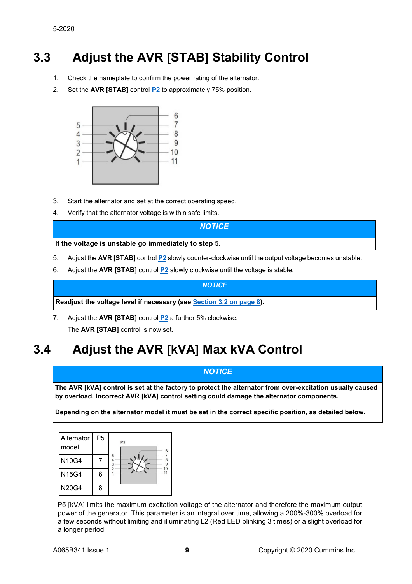## <span id="page-8-0"></span>**3.3 Adjust the AVR [STAB] Stability Control**

- 1. Check the nameplate to confirm the power rating of the alternator.
- 2. Set the **AVR [STAB]** control **[P2](#page-4-0)** to approximately 75% position.



- 3. Start the alternator and set at the correct operating speed.
- 4. Verify that the alternator voltage is within safe limits.

#### *NOTICE*

**If the voltage is unstable go immediately to step 5.**

- 5. Adjust the **AVR [STAB]** control **[P2](#page-4-0)** slowly counter-clockwise until the output voltage becomes unstable.
- 6. Adjust the **AVR [STAB]** control **[P2](#page-4-0)** slowly clockwise until the voltage is stable.

*NOTICE*

**Readjust the voltage level if necessary (see [Section 3.2 on page 8\)](#page-7-0).**

7. Adjust the **AVR [STAB]** control **[P2](#page-4-0)** a further 5% clockwise. The **AVR [STAB]** control is now set.

## <span id="page-8-1"></span>**3.4 Adjust the AVR [kVA] Max kVA Control**

#### *NOTICE*

**The AVR [kVA] control is set at the factory to protect the alternator from over-excitation usually caused by overload. Incorrect AVR [kVA] control setting could damage the alternator components.**

**Depending on the alternator model it must be set in the correct specific position, as detailed below.**

| Alternator<br>model | P <sub>5</sub> | P <sub>5</sub><br>6 |
|---------------------|----------------|---------------------|
| <b>N10G4</b>        |                | 5                   |
| N15G4               | 6              |                     |
| <b>N20G4</b>        |                |                     |

P5 [kVA] limits the maximum excitation voltage of the alternator and therefore the maximum output power of the generator. This parameter is an integral over time, allowing a 200%-300% overload for a few seconds without limiting and illuminating L2 (Red LED blinking 3 times) or a slight overload for a longer period.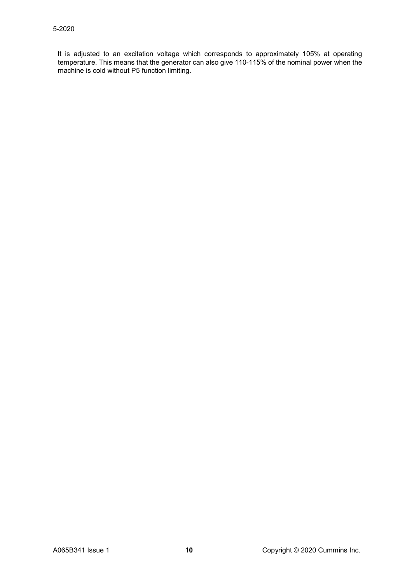It is adjusted to an excitation voltage which corresponds to approximately 105% at operating temperature. This means that the generator can also give 110-115% of the nominal power when the machine is cold without P5 function limiting.